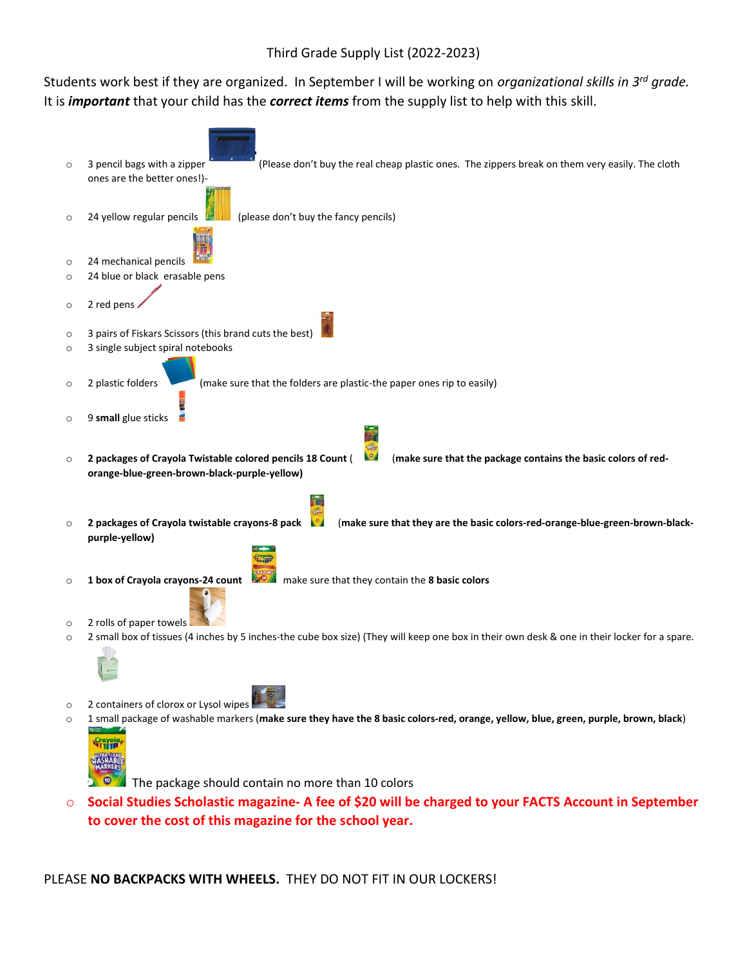## Third Grade Supply List (2022-2023)

Students work best if they are organized. In September I will be working on *organizational skills in 3 rd grade.*  It is *important* that your child has the *correct items* from the supply list to help with this skill.



o **Social Studies Scholastic magazine- A fee of \$20 will be charged to your FACTS Account in September to cover the cost of this magazine for the school year.**

## PLEASE **NO BACKPACKS WITH WHEELS.** THEY DO NOT FIT IN OUR LOCKERS!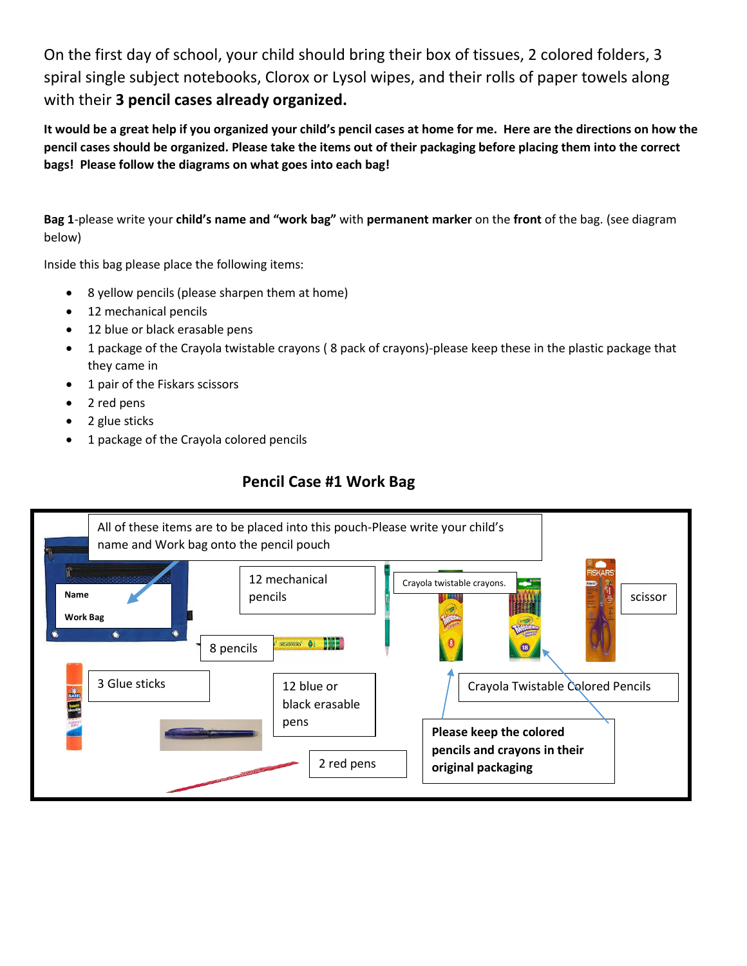On the first day of school, your child should bring their box of tissues, 2 colored folders, 3 spiral single subject notebooks, Clorox or Lysol wipes, and their rolls of paper towels along with their **3 pencil cases already organized.**

**It would be a great help if you organized your child's pencil cases at home for me. Here are the directions on how the pencil cases should be organized. Please take the items out of their packaging before placing them into the correct bags! Please follow the diagrams on what goes into each bag!**

**Bag 1**-please write your **child's name and "work bag"** with **permanent marker** on the **front** of the bag. (see diagram below)

Inside this bag please place the following items:

- 8 yellow pencils (please sharpen them at home)
- 12 mechanical pencils
- 12 blue or black erasable pens
- 1 package of the Crayola twistable crayons ( 8 pack of crayons)-please keep these in the plastic package that they came in
- 1 pair of the Fiskars scissors
- 2 red pens
- 2 glue sticks
- 1 package of the Crayola colored pencils

## **Pencil Case #1 Work Bag**